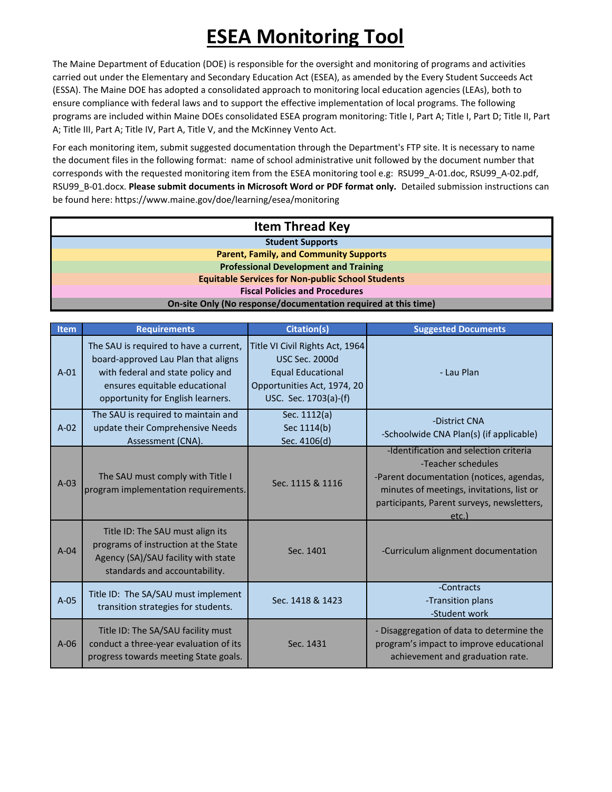The Maine Department of Education (DOE) is responsible for the oversight and monitoring of programs and activities carried out under the Elementary and Secondary Education Act (ESEA), as amended by the Every Student Succeeds Act (ESSA). The Maine DOE has adopted a consolidated approach to monitoring local education agencies (LEAs), both to ensure compliance with federal laws and to support the effective implementation of local programs. The following programs are included within Maine DOEs consolidated ESEA program monitoring: Title I, Part A; Title I, Part D; Title II, Part A; Title III, Part A; Title IV, Part A, Title V, and the McKinney Vento Act.

For each monitoring item, submit suggested documentation through the Department's FTP site. It is necessary to name the document files in the following format: name of school administrative unit followed by the document number that corresponds with the requested monitoring item from the ESEA monitoring tool e.g: RSU99\_A-01.doc, RSU99\_A-02.pdf, RSU99\_B-01.docx. **Please submit documents in Microsoft Word or PDF format only.** Detailed submission instructions can be found here: https://www.maine.gov/doe/learning/esea/monitoring

| <b>Item Thread Key</b>                                         |  |  |
|----------------------------------------------------------------|--|--|
| <b>Student Supports</b>                                        |  |  |
| <b>Parent, Family, and Community Supports</b>                  |  |  |
| <b>Professional Development and Training</b>                   |  |  |
| <b>Equitable Services for Non-public School Students</b>       |  |  |
| <b>Fiscal Policies and Procedures</b>                          |  |  |
| On-site Only (No response/documentation required at this time) |  |  |

| Item   | <b>Requirements</b>                                                                                                                                                                      | <b>Citation(s)</b>                                                                                                                           | <b>Suggested Documents</b>                                                                                                                                                                                  |
|--------|------------------------------------------------------------------------------------------------------------------------------------------------------------------------------------------|----------------------------------------------------------------------------------------------------------------------------------------------|-------------------------------------------------------------------------------------------------------------------------------------------------------------------------------------------------------------|
| $A-01$ | The SAU is required to have a current,<br>board-approved Lau Plan that aligns<br>with federal and state policy and<br>ensures equitable educational<br>opportunity for English learners. | Title VI Civil Rights Act, 1964<br><b>USC Sec. 2000d</b><br><b>Equal Educational</b><br>Opportunities Act, 1974, 20<br>USC. Sec. 1703(a)-(f) | - Lau Plan                                                                                                                                                                                                  |
| $A-02$ | The SAU is required to maintain and<br>update their Comprehensive Needs<br>Assessment (CNA).                                                                                             | Sec. 1112(a)<br>Sec 1114(b)<br><u>Sec. 4106(d)</u>                                                                                           | -District CNA<br>-Schoolwide CNA Plan(s) (if applicable)                                                                                                                                                    |
| $A-03$ | The SAU must comply with Title I<br>program implementation requirements.                                                                                                                 | Sec. 1115 & 1116                                                                                                                             | -Identification and selection criteria<br>-Teacher schedules<br>-Parent documentation (notices, agendas,<br>minutes of meetings, invitations, list or<br>participants, Parent surveys, newsletters,<br>etc. |
| $A-04$ | Title ID: The SAU must align its<br>programs of instruction at the State<br>Agency (SA)/SAU facility with state<br>standards and accountability.                                         | Sec. 1401                                                                                                                                    | -Curriculum alignment documentation                                                                                                                                                                         |
| $A-05$ | Title ID: The SA/SAU must implement<br>transition strategies for students.                                                                                                               | Sec. 1418 & 1423                                                                                                                             | -Contracts<br>-Transition plans<br>-Student work                                                                                                                                                            |
| $A-06$ | Title ID: The SA/SAU facility must<br>conduct a three-year evaluation of its<br>progress towards meeting State goals.                                                                    | Sec. 1431                                                                                                                                    | - Disaggregation of data to determine the<br>program's impact to improve educational<br>achievement and graduation rate.                                                                                    |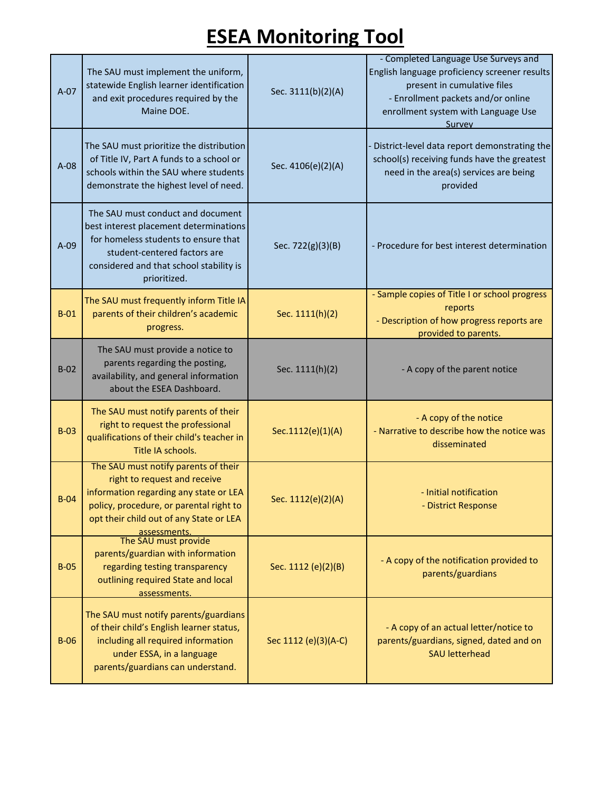| $A-07$ | The SAU must implement the uniform,<br>statewide English learner identification<br>and exit procedures required by the<br>Maine DOE.                                                                                                         | Sec. 3111(b)(2)(A)   | - Completed Language Use Surveys and<br>English language proficiency screener results<br>present in cumulative files<br>- Enrollment packets and/or online<br>enrollment system with Language Use<br>Survey |
|--------|----------------------------------------------------------------------------------------------------------------------------------------------------------------------------------------------------------------------------------------------|----------------------|-------------------------------------------------------------------------------------------------------------------------------------------------------------------------------------------------------------|
| $A-08$ | The SAU must prioritize the distribution<br>of Title IV, Part A funds to a school or<br>schools within the SAU where students<br>demonstrate the highest level of need.                                                                      | Sec. 4106(e)(2)(A)   | District-level data report demonstrating the<br>school(s) receiving funds have the greatest<br>need in the area(s) services are being<br>provided                                                           |
| $A-09$ | The SAU must conduct and document<br>best interest placement determinations<br>for homeless students to ensure that<br>student-centered factors are<br>considered and that school stability is<br>prioritized.                               | Sec. 722(g)(3)(B)    | - Procedure for best interest determination                                                                                                                                                                 |
| $B-01$ | The SAU must frequently inform Title IA<br>parents of their children's academic<br>progress.                                                                                                                                                 | Sec. 1111(h)(2)      | - Sample copies of Title I or school progress<br>reports<br>- Description of how progress reports are<br>provided to parents.                                                                               |
| $B-02$ | The SAU must provide a notice to<br>parents regarding the posting,<br>availability, and general information<br>about the ESEA Dashboard.                                                                                                     | Sec. 1111(h)(2)      | - A copy of the parent notice                                                                                                                                                                               |
| $B-03$ | The SAU must notify parents of their<br>right to request the professional<br>qualifications of their child's teacher in<br>Title IA schools.                                                                                                 | Sec.1112(e)(1)(A)    | - A copy of the notice<br>- Narrative to describe how the notice was<br>disseminated                                                                                                                        |
| $B-04$ | The SAU must notify parents of their<br>right to request and receive<br>information regarding any state or LEA<br>policy, procedure, or parental right to<br>opt their child out of any State or LEA<br>assessments.<br>The SAU must provide | Sec. 1112(e)(2)(A)   | - Initial notification<br>- District Response                                                                                                                                                               |
| $B-05$ | parents/guardian with information<br>regarding testing transparency<br>outlining required State and local<br>assessments.                                                                                                                    | Sec. 1112 (e)(2)(B)  | - A copy of the notification provided to<br>parents/guardians                                                                                                                                               |
| $B-06$ | The SAU must notify parents/guardians<br>of their child's English learner status,<br>including all required information<br>under ESSA, in a language<br>parents/guardians can understand.                                                    | Sec 1112 (e)(3)(A-C) | - A copy of an actual letter/notice to<br>parents/guardians, signed, dated and on<br><b>SAU letterhead</b>                                                                                                  |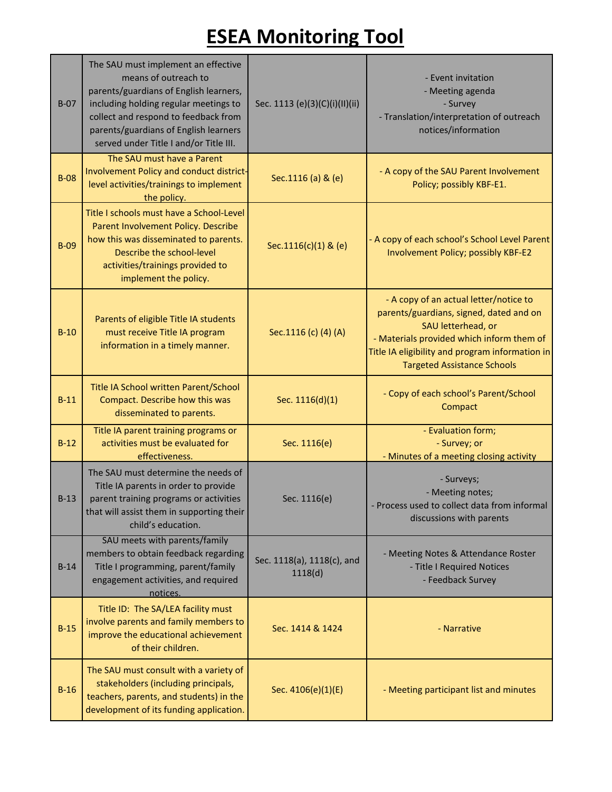| $B-07$ | The SAU must implement an effective<br>means of outreach to<br>parents/guardians of English learners,<br>including holding regular meetings to<br>collect and respond to feedback from<br>parents/guardians of English learners<br>served under Title I and/or Title III. | Sec. 1113 (e)(3)(C)(i)(II)(ii)        | - Event invitation<br>- Meeting agenda<br>- Survey<br>- Translation/interpretation of outreach<br>notices/information                                                                                                                         |
|--------|---------------------------------------------------------------------------------------------------------------------------------------------------------------------------------------------------------------------------------------------------------------------------|---------------------------------------|-----------------------------------------------------------------------------------------------------------------------------------------------------------------------------------------------------------------------------------------------|
| $B-08$ | The SAU must have a Parent<br>Involvement Policy and conduct district-<br>level activities/trainings to implement<br>the policy.                                                                                                                                          | Sec.1116 (a) & (e)                    | - A copy of the SAU Parent Involvement<br>Policy; possibly KBF-E1.                                                                                                                                                                            |
| $B-09$ | Title I schools must have a School-Level<br>Parent Involvement Policy. Describe<br>how this was disseminated to parents.<br>Describe the school-level<br>activities/trainings provided to<br>implement the policy.                                                        | Sec.1116(c)(1) & (e)                  | - A copy of each school's School Level Parent<br>Involvement Policy; possibly KBF-E2                                                                                                                                                          |
| $B-10$ | Parents of eligible Title IA students<br>must receive Title IA program<br>information in a timely manner.                                                                                                                                                                 | Sec.1116 (c) (4) (A)                  | - A copy of an actual letter/notice to<br>parents/guardians, signed, dated and on<br>SAU letterhead, or<br>- Materials provided which inform them of<br>Title IA eligibility and program information in<br><b>Targeted Assistance Schools</b> |
| $B-11$ | Title IA School written Parent/School<br>Compact. Describe how this was<br>disseminated to parents.                                                                                                                                                                       | Sec. 1116(d)(1)                       | - Copy of each school's Parent/School<br>Compact                                                                                                                                                                                              |
| $B-12$ | Title IA parent training programs or<br>activities must be evaluated for<br>effectiveness.                                                                                                                                                                                | Sec. 1116(e)                          | - Evaluation form;<br>- Survey; or<br>- Minutes of a meeting closing activity                                                                                                                                                                 |
| $B-13$ | The SAU must determine the needs of<br>Title IA parents in order to provide<br>parent training programs or activities<br>that will assist them in supporting their<br>child's education.                                                                                  | Sec. 1116(e)                          | - Surveys;<br>- Meeting notes;<br>- Process used to collect data from informal<br>discussions with parents                                                                                                                                    |
| $B-14$ | SAU meets with parents/family<br>members to obtain feedback regarding<br>Title I programming, parent/family<br>engagement activities, and required<br>notices.                                                                                                            | Sec. 1118(a), 1118(c), and<br>1118(d) | - Meeting Notes & Attendance Roster<br>- Title I Required Notices<br>- Feedback Survey                                                                                                                                                        |
| $B-15$ | Title ID: The SA/LEA facility must<br>involve parents and family members to<br>improve the educational achievement<br>of their children.                                                                                                                                  | Sec. 1414 & 1424                      | - Narrative                                                                                                                                                                                                                                   |
| $B-16$ | The SAU must consult with a variety of<br>stakeholders (including principals,<br>teachers, parents, and students) in the<br>development of its funding application.                                                                                                       | Sec. 4106(e)(1)(E)                    | - Meeting participant list and minutes                                                                                                                                                                                                        |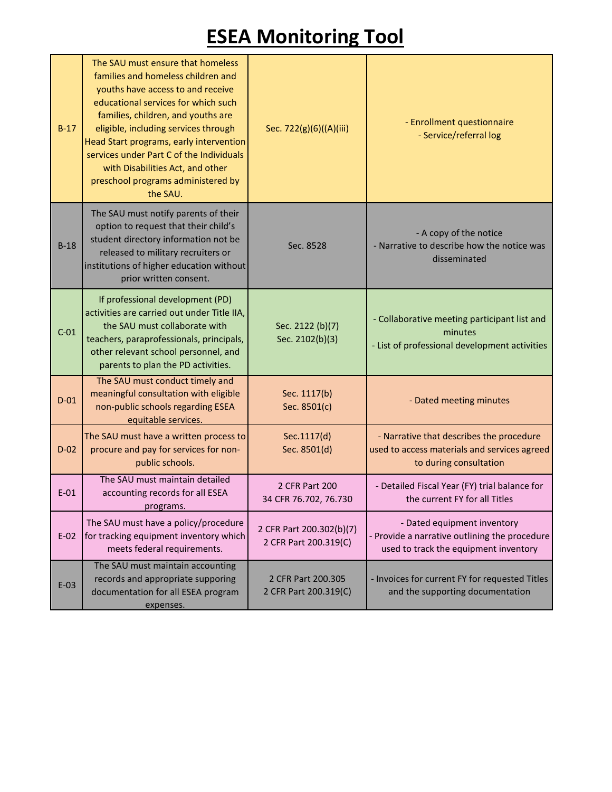| $B-17$ | The SAU must ensure that homeless<br>families and homeless children and<br>youths have access to and receive<br>educational services for which such<br>families, children, and youths are<br>eligible, including services through<br>Head Start programs, early intervention<br>services under Part C of the Individuals<br>with Disabilities Act, and other<br>preschool programs administered by<br>the SAU. | Sec. 722(g)(6)((A)(iii)                           | - Enrollment questionnaire<br>- Service/referral log                                                                |
|--------|----------------------------------------------------------------------------------------------------------------------------------------------------------------------------------------------------------------------------------------------------------------------------------------------------------------------------------------------------------------------------------------------------------------|---------------------------------------------------|---------------------------------------------------------------------------------------------------------------------|
| $B-18$ | The SAU must notify parents of their<br>option to request that their child's<br>student directory information not be<br>released to military recruiters or<br>institutions of higher education without<br>prior written consent.                                                                                                                                                                               | Sec. 8528                                         | - A copy of the notice<br>- Narrative to describe how the notice was<br>disseminated                                |
| $C-01$ | If professional development (PD)<br>activities are carried out under Title IIA,<br>the SAU must collaborate with<br>teachers, paraprofessionals, principals,<br>other relevant school personnel, and<br>parents to plan the PD activities.                                                                                                                                                                     | Sec. 2122 (b)(7)<br>Sec. 2102(b)(3)               | - Collaborative meeting participant list and<br>minutes<br>- List of professional development activities            |
| $D-01$ | The SAU must conduct timely and<br>meaningful consultation with eligible<br>non-public schools regarding ESEA<br>equitable services.                                                                                                                                                                                                                                                                           | Sec. 1117(b)<br>Sec. 8501(c)                      | - Dated meeting minutes                                                                                             |
| $D-02$ | The SAU must have a written process to<br>procure and pay for services for non-<br>public schools.                                                                                                                                                                                                                                                                                                             | Sec.1117(d)<br>Sec. 8501(d)                       | - Narrative that describes the procedure<br>used to access materials and services agreed<br>to during consultation  |
| $E-01$ | The SAU must maintain detailed<br>accounting records for all ESEA<br>programs.                                                                                                                                                                                                                                                                                                                                 | 2 CFR Part 200<br>34 CFR 76.702, 76.730           | - Detailed Fiscal Year (FY) trial balance for<br>the current FY for all Titles                                      |
| $E-02$ | The SAU must have a policy/procedure<br>for tracking equipment inventory which<br>meets federal requirements.                                                                                                                                                                                                                                                                                                  | 2 CFR Part 200.302(b)(7)<br>2 CFR Part 200.319(C) | - Dated equipment inventory<br>Provide a narrative outlining the procedure<br>used to track the equipment inventory |
| $E-03$ | The SAU must maintain accounting<br>records and appropriate supporing<br>documentation for all ESEA program<br>expenses.                                                                                                                                                                                                                                                                                       | 2 CFR Part 200.305<br>2 CFR Part 200.319(C)       | - Invoices for current FY for requested Titles<br>and the supporting documentation                                  |